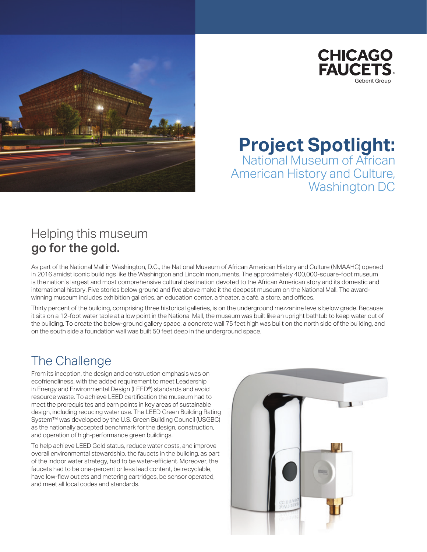



**Project Spotlight:** National Museum of African American History and Culture, Washington DC

### Helping this museum go for the gold.

As part of the National Mall in Washington, D.C., the National Museum of African American History and Culture (NMAAHC) opened in 2016 amidst iconic buildings like the Washington and Lincoln monuments. The approximately 400,000-square-foot museum is the nation's largest and most comprehensive cultural destination devoted to the African American story and its domestic and international history. Five stories below ground and five above make it the deepest museum on the National Mall. The awardwinning museum includes exhibition galleries, an education center, a theater, a café, a store, and offices.

Thirty percent of the building, comprising three historical galleries, is on the underground mezzanine levels below grade. Because it sits on a 12-foot water table at a low point in the National Mall, the museum was built like an upright bathtub to keep water out of the building. To create the below-ground gallery space, a concrete wall 75 feet high was built on the north side of the building, and on the south side a foundation wall was built 50 feet deep in the underground space.

### The Challenge

From its inception, the design and construction emphasis was on ecofriendliness, with the added requirement to meet Leadership in Energy and Environmental Design (LEED®) standards and avoid resource waste. To achieve LEED certification the museum had to meet the prerequisites and earn points in key areas of sustainable design, including reducing water use. The LEED Green Building Rating System™ was developed by the U.S. Green Building Council (USGBC) as the nationally accepted benchmark for the design, construction, and operation of high-performance green buildings.

To help achieve LEED Gold status, reduce water costs, and improve overall environmental stewardship, the faucets in the building, as part of the indoor water strategy, had to be water-efficient. Moreover, the faucets had to be one-percent or less lead content, be recyclable, have low-flow outlets and metering cartridges, be sensor operated, and meet all local codes and standards.